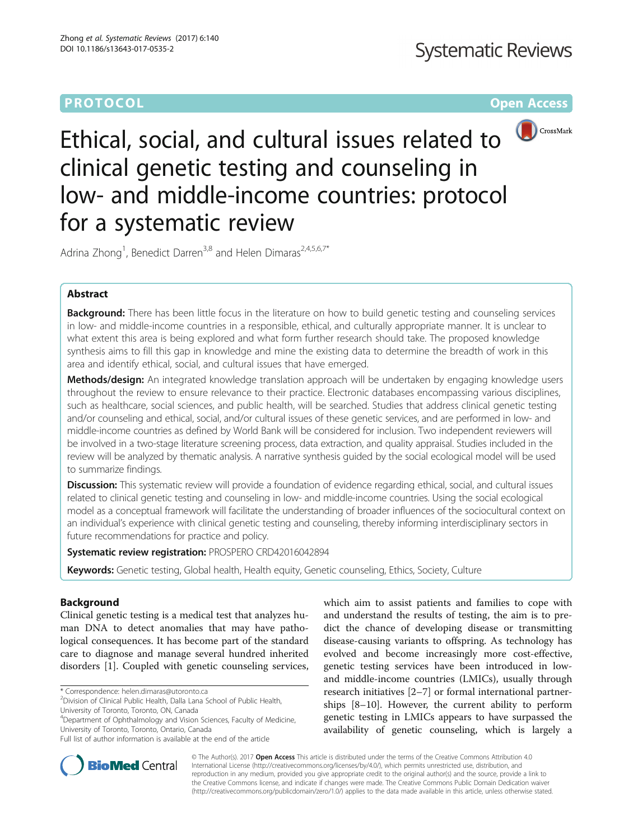# **PROTOCOL CONSUMING THE CONSUMING TEACHER CONSUMING THE CONSUMING TEACHER CONSUMING THE CONSUMING TEACHER CONSUMING**



Ethical, social, and cultural issues related to clinical genetic testing and counseling in low- and middle-income countries: protocol for a systematic review

Adrina Zhong<sup>1</sup>, Benedict Darren<sup>3,8</sup> and Helen Dimaras<sup>2,4,5,6,7\*</sup>

## Abstract

Background: There has been little focus in the literature on how to build genetic testing and counseling services in low- and middle-income countries in a responsible, ethical, and culturally appropriate manner. It is unclear to what extent this area is being explored and what form further research should take. The proposed knowledge synthesis aims to fill this gap in knowledge and mine the existing data to determine the breadth of work in this area and identify ethical, social, and cultural issues that have emerged.

Methods/design: An integrated knowledge translation approach will be undertaken by engaging knowledge users throughout the review to ensure relevance to their practice. Electronic databases encompassing various disciplines, such as healthcare, social sciences, and public health, will be searched. Studies that address clinical genetic testing and/or counseling and ethical, social, and/or cultural issues of these genetic services, and are performed in low- and middle-income countries as defined by World Bank will be considered for inclusion. Two independent reviewers will be involved in a two-stage literature screening process, data extraction, and quality appraisal. Studies included in the review will be analyzed by thematic analysis. A narrative synthesis guided by the social ecological model will be used to summarize findings.

Discussion: This systematic review will provide a foundation of evidence regarding ethical, social, and cultural issues related to clinical genetic testing and counseling in low- and middle-income countries. Using the social ecological model as a conceptual framework will facilitate the understanding of broader influences of the sociocultural context on an individual's experience with clinical genetic testing and counseling, thereby informing interdisciplinary sectors in future recommendations for practice and policy.

Systematic review registration: PROSPERO CRD42016042894

Keywords: Genetic testing, Global health, Health equity, Genetic counseling, Ethics, Society, Culture

## Background

Clinical genetic testing is a medical test that analyzes human DNA to detect anomalies that may have pathological consequences. It has become part of the standard care to diagnose and manage several hundred inherited disorders [\[1](#page-5-0)]. Coupled with genetic counseling services,

which aim to assist patients and families to cope with and understand the results of testing, the aim is to predict the chance of developing disease or transmitting disease-causing variants to offspring. As technology has evolved and become increasingly more cost-effective, genetic testing services have been introduced in lowand middle-income countries (LMICs), usually through research initiatives [[2](#page-5-0)–[7\]](#page-5-0) or formal international partnerships [[8](#page-5-0)–[10](#page-5-0)]. However, the current ability to perform genetic testing in LMICs appears to have surpassed the availability of genetic counseling, which is largely a



© The Author(s). 2017 **Open Access** This article is distributed under the terms of the Creative Commons Attribution 4.0 International License [\(http://creativecommons.org/licenses/by/4.0/](http://creativecommons.org/licenses/by/4.0/)), which permits unrestricted use, distribution, and reproduction in any medium, provided you give appropriate credit to the original author(s) and the source, provide a link to the Creative Commons license, and indicate if changes were made. The Creative Commons Public Domain Dedication waiver [\(http://creativecommons.org/publicdomain/zero/1.0/](http://creativecommons.org/publicdomain/zero/1.0/)) applies to the data made available in this article, unless otherwise stated.

<sup>\*</sup> Correspondence: [helen.dimaras@utoronto.ca](mailto:helen.dimaras@utoronto.ca) <sup>2</sup>

<sup>&</sup>lt;sup>2</sup> Division of Clinical Public Health, Dalla Lana School of Public Health, University of Toronto, Toronto, ON, Canada

<sup>4</sup> Department of Ophthalmology and Vision Sciences, Faculty of Medicine, University of Toronto, Toronto, Ontario, Canada

Full list of author information is available at the end of the article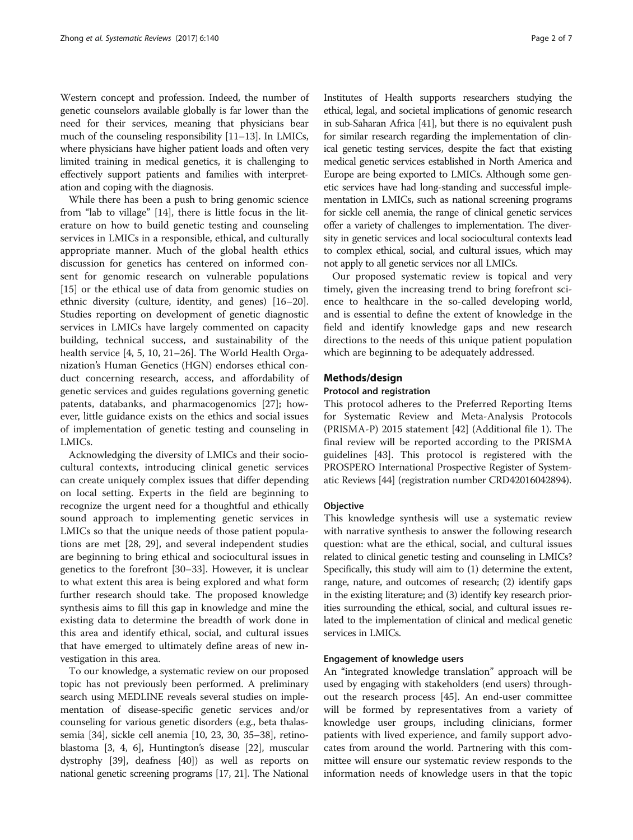Western concept and profession. Indeed, the number of genetic counselors available globally is far lower than the need for their services, meaning that physicians bear much of the counseling responsibility [\[11](#page-5-0)–[13](#page-5-0)]. In LMICs, where physicians have higher patient loads and often very limited training in medical genetics, it is challenging to effectively support patients and families with interpretation and coping with the diagnosis.

While there has been a push to bring genomic science from "lab to village" [\[14](#page-5-0)], there is little focus in the literature on how to build genetic testing and counseling services in LMICs in a responsible, ethical, and culturally appropriate manner. Much of the global health ethics discussion for genetics has centered on informed consent for genomic research on vulnerable populations [[15\]](#page-5-0) or the ethical use of data from genomic studies on ethnic diversity (culture, identity, and genes) [[16](#page-5-0)–[20](#page-5-0)]. Studies reporting on development of genetic diagnostic services in LMICs have largely commented on capacity building, technical success, and sustainability of the health service [[4, 5, 10, 21](#page-5-0)–[26](#page-5-0)]. The World Health Organization's Human Genetics (HGN) endorses ethical conduct concerning research, access, and affordability of genetic services and guides regulations governing genetic patents, databanks, and pharmacogenomics [[27](#page-5-0)]; however, little guidance exists on the ethics and social issues of implementation of genetic testing and counseling in LMICs.

Acknowledging the diversity of LMICs and their sociocultural contexts, introducing clinical genetic services can create uniquely complex issues that differ depending on local setting. Experts in the field are beginning to recognize the urgent need for a thoughtful and ethically sound approach to implementing genetic services in LMICs so that the unique needs of those patient populations are met [[28](#page-5-0), [29\]](#page-5-0), and several independent studies are beginning to bring ethical and sociocultural issues in genetics to the forefront [[30](#page-5-0)–[33](#page-6-0)]. However, it is unclear to what extent this area is being explored and what form further research should take. The proposed knowledge synthesis aims to fill this gap in knowledge and mine the existing data to determine the breadth of work done in this area and identify ethical, social, and cultural issues that have emerged to ultimately define areas of new investigation in this area.

To our knowledge, a systematic review on our proposed topic has not previously been performed. A preliminary search using MEDLINE reveals several studies on implementation of disease-specific genetic services and/or counseling for various genetic disorders (e.g., beta thalassemia [\[34\]](#page-6-0), sickle cell anemia [\[10, 23](#page-5-0), [30,](#page-5-0) [35](#page-6-0)–[38](#page-6-0)], retinoblastoma [\[3, 4](#page-5-0), [6](#page-5-0)], Huntington's disease [[22](#page-5-0)], muscular dystrophy [[39](#page-6-0)], deafness [\[40](#page-6-0)]) as well as reports on national genetic screening programs [[17](#page-5-0), [21\]](#page-5-0). The National Institutes of Health supports researchers studying the ethical, legal, and societal implications of genomic research in sub-Saharan Africa [[41](#page-6-0)], but there is no equivalent push for similar research regarding the implementation of clinical genetic testing services, despite the fact that existing medical genetic services established in North America and Europe are being exported to LMICs. Although some genetic services have had long-standing and successful implementation in LMICs, such as national screening programs for sickle cell anemia, the range of clinical genetic services offer a variety of challenges to implementation. The diversity in genetic services and local sociocultural contexts lead to complex ethical, social, and cultural issues, which may not apply to all genetic services nor all LMICs.

Our proposed systematic review is topical and very timely, given the increasing trend to bring forefront science to healthcare in the so-called developing world, and is essential to define the extent of knowledge in the field and identify knowledge gaps and new research directions to the needs of this unique patient population which are beginning to be adequately addressed.

### Methods/design

### Protocol and registration

This protocol adheres to the Preferred Reporting Items for Systematic Review and Meta-Analysis Protocols (PRISMA-P) 2015 statement [\[42](#page-6-0)] (Additional file [1](#page-4-0)). The final review will be reported according to the PRISMA guidelines [\[43](#page-6-0)]. This protocol is registered with the PROSPERO International Prospective Register of Systematic Reviews [\[44\]](#page-6-0) (registration number CRD42016042894).

### **Objective**

This knowledge synthesis will use a systematic review with narrative synthesis to answer the following research question: what are the ethical, social, and cultural issues related to clinical genetic testing and counseling in LMICs? Specifically, this study will aim to (1) determine the extent, range, nature, and outcomes of research; (2) identify gaps in the existing literature; and (3) identify key research priorities surrounding the ethical, social, and cultural issues related to the implementation of clinical and medical genetic services in LMICs.

### Engagement of knowledge users

An "integrated knowledge translation" approach will be used by engaging with stakeholders (end users) throughout the research process [[45](#page-6-0)]. An end-user committee will be formed by representatives from a variety of knowledge user groups, including clinicians, former patients with lived experience, and family support advocates from around the world. Partnering with this committee will ensure our systematic review responds to the information needs of knowledge users in that the topic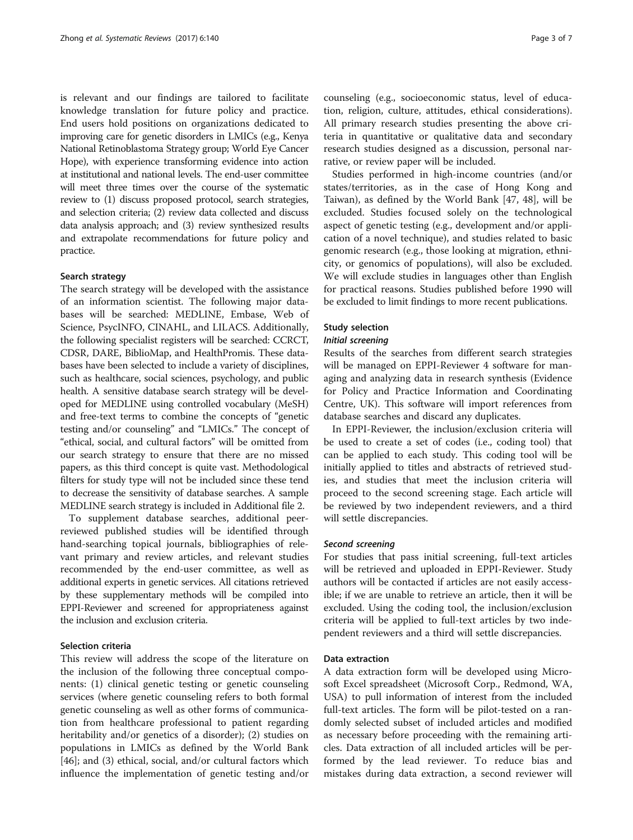is relevant and our findings are tailored to facilitate knowledge translation for future policy and practice. End users hold positions on organizations dedicated to improving care for genetic disorders in LMICs (e.g., Kenya National Retinoblastoma Strategy group; World Eye Cancer Hope), with experience transforming evidence into action at institutional and national levels. The end-user committee will meet three times over the course of the systematic review to (1) discuss proposed protocol, search strategies, and selection criteria; (2) review data collected and discuss data analysis approach; and (3) review synthesized results and extrapolate recommendations for future policy and practice.

### Search strategy

The search strategy will be developed with the assistance of an information scientist. The following major databases will be searched: MEDLINE, Embase, Web of Science, PsycINFO, CINAHL, and LILACS. Additionally, the following specialist registers will be searched: CCRCT, CDSR, DARE, BiblioMap, and HealthPromis. These databases have been selected to include a variety of disciplines, such as healthcare, social sciences, psychology, and public health. A sensitive database search strategy will be developed for MEDLINE using controlled vocabulary (MeSH) and free-text terms to combine the concepts of "genetic testing and/or counseling" and "LMICs." The concept of "ethical, social, and cultural factors" will be omitted from our search strategy to ensure that there are no missed papers, as this third concept is quite vast. Methodological filters for study type will not be included since these tend to decrease the sensitivity of database searches. A sample MEDLINE search strategy is included in Additional file [2.](#page-4-0)

To supplement database searches, additional peerreviewed published studies will be identified through hand-searching topical journals, bibliographies of relevant primary and review articles, and relevant studies recommended by the end-user committee, as well as additional experts in genetic services. All citations retrieved by these supplementary methods will be compiled into EPPI-Reviewer and screened for appropriateness against the inclusion and exclusion criteria.

### Selection criteria

This review will address the scope of the literature on the inclusion of the following three conceptual components: (1) clinical genetic testing or genetic counseling services (where genetic counseling refers to both formal genetic counseling as well as other forms of communication from healthcare professional to patient regarding heritability and/or genetics of a disorder); (2) studies on populations in LMICs as defined by the World Bank [[46\]](#page-6-0); and (3) ethical, social, and/or cultural factors which influence the implementation of genetic testing and/or counseling (e.g., socioeconomic status, level of education, religion, culture, attitudes, ethical considerations). All primary research studies presenting the above criteria in quantitative or qualitative data and secondary research studies designed as a discussion, personal narrative, or review paper will be included.

Studies performed in high-income countries (and/or states/territories, as in the case of Hong Kong and Taiwan), as defined by the World Bank [\[47](#page-6-0), [48\]](#page-6-0), will be excluded. Studies focused solely on the technological aspect of genetic testing (e.g., development and/or application of a novel technique), and studies related to basic genomic research (e.g., those looking at migration, ethnicity, or genomics of populations), will also be excluded. We will exclude studies in languages other than English for practical reasons. Studies published before 1990 will be excluded to limit findings to more recent publications.

#### Study selection

#### Initial screening

Results of the searches from different search strategies will be managed on EPPI-Reviewer 4 software for managing and analyzing data in research synthesis (Evidence for Policy and Practice Information and Coordinating Centre, UK). This software will import references from database searches and discard any duplicates.

In EPPI-Reviewer, the inclusion/exclusion criteria will be used to create a set of codes (i.e., coding tool) that can be applied to each study. This coding tool will be initially applied to titles and abstracts of retrieved studies, and studies that meet the inclusion criteria will proceed to the second screening stage. Each article will be reviewed by two independent reviewers, and a third will settle discrepancies.

### Second screening

For studies that pass initial screening, full-text articles will be retrieved and uploaded in EPPI-Reviewer. Study authors will be contacted if articles are not easily accessible; if we are unable to retrieve an article, then it will be excluded. Using the coding tool, the inclusion/exclusion criteria will be applied to full-text articles by two independent reviewers and a third will settle discrepancies.

### Data extraction

A data extraction form will be developed using Microsoft Excel spreadsheet (Microsoft Corp., Redmond, WA, USA) to pull information of interest from the included full-text articles. The form will be pilot-tested on a randomly selected subset of included articles and modified as necessary before proceeding with the remaining articles. Data extraction of all included articles will be performed by the lead reviewer. To reduce bias and mistakes during data extraction, a second reviewer will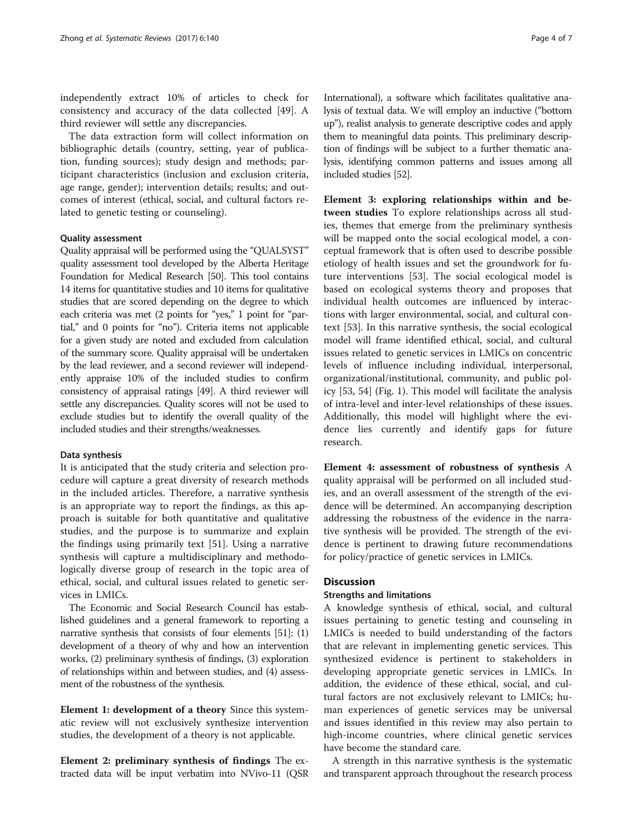independently extract 10% of articles to check for consistency and accuracy of the data collected [[49\]](#page-6-0). A third reviewer will settle any discrepancies.

The data extraction form will collect information on bibliographic details (country, setting, year of publication, funding sources); study design and methods; participant characteristics (inclusion and exclusion criteria, age range, gender); intervention details; results; and outcomes of interest (ethical, social, and cultural factors related to genetic testing or counseling).

### Quality assessment

Quality appraisal will be performed using the "QUALSYST" quality assessment tool developed by the Alberta Heritage Foundation for Medical Research [\[50\]](#page-6-0). This tool contains 14 items for quantitative studies and 10 items for qualitative studies that are scored depending on the degree to which each criteria was met (2 points for "yes," 1 point for "partial," and 0 points for "no"). Criteria items not applicable for a given study are noted and excluded from calculation of the summary score. Quality appraisal will be undertaken by the lead reviewer, and a second reviewer will independently appraise 10% of the included studies to confirm consistency of appraisal ratings [\[49\]](#page-6-0). A third reviewer will settle any discrepancies. Quality scores will not be used to exclude studies but to identify the overall quality of the included studies and their strengths/weaknesses.

### Data synthesis

It is anticipated that the study criteria and selection procedure will capture a great diversity of research methods in the included articles. Therefore, a narrative synthesis is an appropriate way to report the findings, as this approach is suitable for both quantitative and qualitative studies, and the purpose is to summarize and explain the findings using primarily text [[51](#page-6-0)]. Using a narrative synthesis will capture a multidisciplinary and methodologically diverse group of research in the topic area of ethical, social, and cultural issues related to genetic services in LMICs.

The Economic and Social Research Council has established guidelines and a general framework to reporting a narrative synthesis that consists of four elements [\[51\]](#page-6-0): (1) development of a theory of why and how an intervention works, (2) preliminary synthesis of findings, (3) exploration of relationships within and between studies, and (4) assessment of the robustness of the synthesis.

Element 1: development of a theory Since this systematic review will not exclusively synthesize intervention studies, the development of a theory is not applicable.

Element 2: preliminary synthesis of findings The extracted data will be input verbatim into NVivo-11 (QSR

International), a software which facilitates qualitative analysis of textual data. We will employ an inductive ("bottom up"), realist analysis to generate descriptive codes and apply them to meaningful data points. This preliminary description of findings will be subject to a further thematic analysis, identifying common patterns and issues among all included studies [\[52\]](#page-6-0).

Element 3: exploring relationships within and between studies To explore relationships across all studies, themes that emerge from the preliminary synthesis will be mapped onto the social ecological model, a conceptual framework that is often used to describe possible etiology of health issues and set the groundwork for future interventions [\[53\]](#page-6-0). The social ecological model is based on ecological systems theory and proposes that individual health outcomes are influenced by interactions with larger environmental, social, and cultural context [[53](#page-6-0)]. In this narrative synthesis, the social ecological model will frame identified ethical, social, and cultural issues related to genetic services in LMICs on concentric levels of influence including individual, interpersonal, organizational/institutional, community, and public policy [\[53](#page-6-0), [54\]](#page-6-0) (Fig. [1\)](#page-4-0). This model will facilitate the analysis of intra-level and inter-level relationships of these issues. Additionally, this model will highlight where the evidence lies currently and identify gaps for future research.

Element 4: assessment of robustness of synthesis A quality appraisal will be performed on all included studies, and an overall assessment of the strength of the evidence will be determined. An accompanying description addressing the robustness of the evidence in the narrative synthesis will be provided. The strength of the evidence is pertinent to drawing future recommendations for policy/practice of genetic services in LMICs.

### **Discussion**

#### Strengths and limitations

A knowledge synthesis of ethical, social, and cultural issues pertaining to genetic testing and counseling in LMICs is needed to build understanding of the factors that are relevant in implementing genetic services. This synthesized evidence is pertinent to stakeholders in developing appropriate genetic services in LMICs. In addition, the evidence of these ethical, social, and cultural factors are not exclusively relevant to LMICs; human experiences of genetic services may be universal and issues identified in this review may also pertain to high-income countries, where clinical genetic services have become the standard care.

A strength in this narrative synthesis is the systematic and transparent approach throughout the research process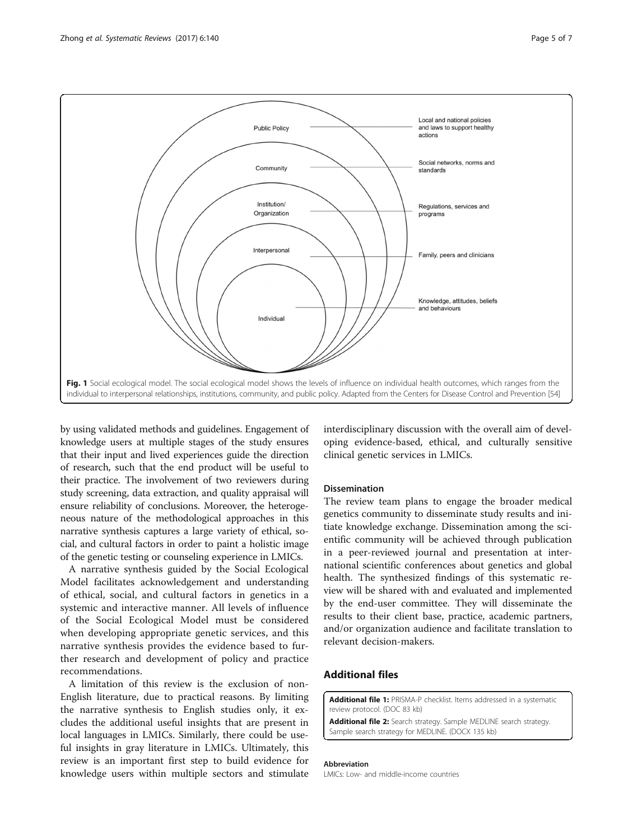<span id="page-4-0"></span>

by using validated methods and guidelines. Engagement of knowledge users at multiple stages of the study ensures that their input and lived experiences guide the direction of research, such that the end product will be useful to their practice. The involvement of two reviewers during study screening, data extraction, and quality appraisal will ensure reliability of conclusions. Moreover, the heterogeneous nature of the methodological approaches in this narrative synthesis captures a large variety of ethical, social, and cultural factors in order to paint a holistic image of the genetic testing or counseling experience in LMICs.

A narrative synthesis guided by the Social Ecological Model facilitates acknowledgement and understanding of ethical, social, and cultural factors in genetics in a systemic and interactive manner. All levels of influence of the Social Ecological Model must be considered when developing appropriate genetic services, and this narrative synthesis provides the evidence based to further research and development of policy and practice recommendations.

A limitation of this review is the exclusion of non-English literature, due to practical reasons. By limiting the narrative synthesis to English studies only, it excludes the additional useful insights that are present in local languages in LMICs. Similarly, there could be useful insights in gray literature in LMICs. Ultimately, this review is an important first step to build evidence for knowledge users within multiple sectors and stimulate interdisciplinary discussion with the overall aim of developing evidence-based, ethical, and culturally sensitive clinical genetic services in LMICs.

### Dissemination

The review team plans to engage the broader medical genetics community to disseminate study results and initiate knowledge exchange. Dissemination among the scientific community will be achieved through publication in a peer-reviewed journal and presentation at international scientific conferences about genetics and global health. The synthesized findings of this systematic review will be shared with and evaluated and implemented by the end-user committee. They will disseminate the results to their client base, practice, academic partners, and/or organization audience and facilitate translation to relevant decision-makers.

### Additional files

[Additional file 1:](dx.doi.org/10.1186/s13643-017-0535-2) PRISMA-P checklist. Items addressed in a systematic review protocol. (DOC 83 kb)

[Additional file 2:](dx.doi.org/10.1186/s13643-017-0535-2) Search strategy. Sample MEDLINE search strategy. Sample search strategy for MEDLINE. (DOCX 135 kb)

#### Abbreviation

LMICs: Low- and middle-income countries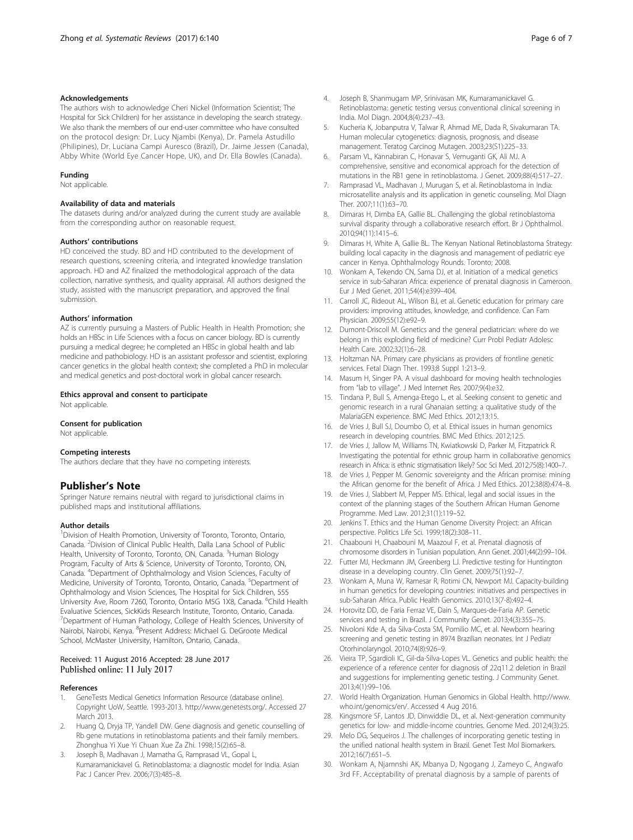#### <span id="page-5-0"></span>Acknowledgements

The authors wish to acknowledge Cheri Nickel (Information Scientist; The Hospital for Sick Children) for her assistance in developing the search strategy. We also thank the members of our end-user committee who have consulted on the protocol design: Dr. Lucy Njambi (Kenya), Dr. Pamela Astudillo (Philipines), Dr. Luciana Campi Auresco (Brazil), Dr. Jaime Jessen (Canada), Abby White (World Eye Cancer Hope, UK), and Dr. Ella Bowles (Canada).

#### Funding

Not applicable.

#### Availability of data and materials

The datasets during and/or analyzed during the current study are available from the corresponding author on reasonable request.

#### Authors' contributions

HD conceived the study. BD and HD contributed to the development of research questions, screening criteria, and integrated knowledge translation approach. HD and AZ finalized the methodological approach of the data collection, narrative synthesis, and quality appraisal. All authors designed the study, assisted with the manuscript preparation, and approved the final submission.

#### Authors' information

AZ is currently pursuing a Masters of Public Health in Health Promotion; she holds an HBSc in Life Sciences with a focus on cancer biology. BD is currently pursuing a medical degree; he completed an HBSc in global health and lab medicine and pathobiology. HD is an assistant professor and scientist, exploring cancer genetics in the global health context; she completed a PhD in molecular and medical genetics and post-doctoral work in global cancer research.

#### Ethics approval and consent to participate

Not applicable.

#### Consent for publication

Not applicable.

#### Competing interests

The authors declare that they have no competing interests.

#### Publisher's Note

Springer Nature remains neutral with regard to jurisdictional claims in published maps and institutional affiliations.

#### Author details

<sup>1</sup> Division of Health Promotion, University of Toronto, Toronto, Ontario, Canada. <sup>2</sup>Division of Clinical Public Health, Dalla Lana School of Public Health, University of Toronto, Toronto, ON, Canada. <sup>3</sup>Human Biology Program, Faculty of Arts & Science, University of Toronto, Toronto, ON, Canada. <sup>4</sup> Department of Ophthalmology and Vision Sciences, Faculty of Medicine, University of Toronto, Toronto, Ontario, Canada. <sup>5</sup>Department of Ophthalmology and Vision Sciences, The Hospital for Sick Children, 555 University Ave, Room 7260, Toronto, Ontario M5G 1X8, Canada. <sup>6</sup>Child Health Evaluative Sciences, SickKids Research Institute, Toronto, Ontario, Canada. <sup>7</sup>Department of Human Pathology, College of Health Sciences, University of Nairobi, Nairobi, Kenya. <sup>8</sup>Present Address: Michael G. DeGroote Medical School, McMaster University, Hamilton, Ontario, Canada.

#### Received: 11 August 2016 Accepted: 28 June 2017 Published online: 11 July 2017

#### References

- 1. GeneTests Medical Genetics Information Resource (database online). Copyright UoW, Seattle. 1993-2013. [http://www.genetests.org/.](http://www.genetests.org/) Accessed 27 March 2013.
- Huang Q, Dryja TP, Yandell DW. Gene diagnosis and genetic counselling of Rb gene mutations in retinoblastoma patients and their family members. Zhonghua Yi Xue Yi Chuan Xue Za Zhi. 1998;15(2):65–8.
- 3. Joseph B, Madhavan J, Mamatha G, Ramprasad VL, Gopal L, Kumaramanickavel G. Retinoblastoma: a diagnostic model for India. Asian Pac J Cancer Prev. 2006;7(3):485–8.
- 4. Joseph B, Shanmugam MP, Srinivasan MK, Kumaramanickavel G. Retinoblastoma: genetic testing versus conventional clinical screening in India. Mol Diagn. 2004;8(4):237–43.
- 5. Kucheria K, Jobanputra V, Talwar R, Ahmad ME, Dada R, Sivakumaran TA. Human molecular cytogenetics: diagnosis, prognosis, and disease management. Teratog Carcinog Mutagen. 2003;23(S1):225–33.
- 6. Parsam VL, Kannabiran C, Honavar S, Vemuganti GK, Ali MJ. A comprehensive, sensitive and economical approach for the detection of mutations in the RB1 gene in retinoblastoma. J Genet. 2009;88(4):517–27.
- 7. Ramprasad VL, Madhavan J, Murugan S, et al. Retinoblastoma in India: microsatellite analysis and its application in genetic counseling. Mol Diagn Ther. 2007;11(1):63–70.
- 8. Dimaras H, Dimba EA, Gallie BL. Challenging the global retinoblastoma survival disparity through a collaborative research effort. Br J Ophthalmol. 2010;94(11):1415–6.
- Dimaras H, White A, Gallie BL. The Kenyan National Retinoblastoma Strategy: building local capacity in the diagnosis and management of pediatric eye cancer in Kenya. Ophthalmology Rounds. Toronto; 2008.
- 10. Wonkam A, Tekendo CN, Sama DJ, et al. Initiation of a medical genetics service in sub-Saharan Africa: experience of prenatal diagnosis in Cameroon. Eur J Med Genet. 2011;54(4):e399–404.
- 11. Carroll JC, Rideout AL, Wilson BJ, et al. Genetic education for primary care providers: improving attitudes, knowledge, and confidence. Can Fam Physician. 2009;55(12):e92–9.
- 12. Dumont-Driscoll M. Genetics and the general pediatrician: where do we belong in this exploding field of medicine? Curr Probl Pediatr Adolesc Health Care. 2002;32(1):6–28.
- 13. Holtzman NA. Primary care physicians as providers of frontline genetic services. Fetal Diagn Ther. 1993;8 Suppl 1:213–9.
- 14. Masum H, Singer PA. A visual dashboard for moving health technologies from "lab to village". J Med Internet Res. 2007;9(4):e32.
- 15. Tindana P, Bull S, Amenga-Etego L, et al. Seeking consent to genetic and genomic research in a rural Ghanaian setting: a qualitative study of the MalariaGEN experience. BMC Med Ethics. 2012;13:15.
- 16. de Vries J, Bull SJ, Doumbo O, et al. Ethical issues in human genomics research in developing countries. BMC Med Ethics. 2012;12:5.
- 17. de Vries J, Jallow M, Williams TN, Kwiatkowski D, Parker M, Fitzpatrick R. Investigating the potential for ethnic group harm in collaborative genomics research in Africa: is ethnic stigmatisation likely? Soc Sci Med. 2012;75(8):1400–7.
- 18. de Vries J, Pepper M. Genomic sovereignty and the African promise: mining the African genome for the benefit of Africa. J Med Ethics. 2012;38(8):474–8.
- 19. de Vries J, Slabbert M, Pepper MS. Ethical, legal and social issues in the context of the planning stages of the Southern African Human Genome Programme. Med Law. 2012;31(1):119–52.
- 20. Jenkins T. Ethics and the Human Genome Diversity Project: an African perspective. Politics Life Sci. 1999;18(2):308–11.
- 21. Chaabouni H, Chaabouni M, Maazoul F, et al. Prenatal diagnosis of chromosome disorders in Tunisian population. Ann Genet. 2001;44(2):99–104.
- 22. Futter MJ, Heckmann JM, Greenberg LJ. Predictive testing for Huntington disease in a developing country. Clin Genet. 2009;75(1):92–7.
- 23. Wonkam A, Muna W, Ramesar R, Rotimi CN, Newport MJ. Capacity-building in human genetics for developing countries: initiatives and perspectives in sub-Saharan Africa. Public Health Genomics. 2010;13(7-8):492–4.
- 24. Horovitz DD, de Faria Ferraz VE, Dain S, Marques-de-Faria AP. Genetic services and testing in Brazil. J Community Genet. 2013;4(3):355–75.
- 25. Nivoloni Kde A, da Silva-Costa SM, Pomilio MC, et al. Newborn hearing screening and genetic testing in 8974 Brazilian neonates. Int J Pediatr Otorhinolaryngol. 2010;74(8):926–9.
- 26. Vieira TP, Sgardioli IC, Gil-da-Silva-Lopes VL. Genetics and public health: the experience of a reference center for diagnosis of 22q11.2 deletion in Brazil and suggestions for implementing genetic testing. J Community Genet. 2013;4(1):99–106.
- 27. World Health Organization. Human Genomics in Global Health. [http://www.](http://www.who.int/genomics/en/) [who.int/genomics/en/](http://www.who.int/genomics/en/). Accessed 4 Aug 2016.
- 28. Kingsmore SF, Lantos JD, Dinwiddie DL, et al. Next-generation community genetics for low- and middle-income countries. Genome Med. 2012;4(3):25.
- 29. Melo DG, Sequeiros J. The challenges of incorporating genetic testing in the unified national health system in Brazil. Genet Test Mol Biomarkers. 2012;16(7):651–5.
- 30. Wonkam A, Njamnshi AK, Mbanya D, Ngogang J, Zameyo C, Angwafo 3rd FF. Acceptability of prenatal diagnosis by a sample of parents of